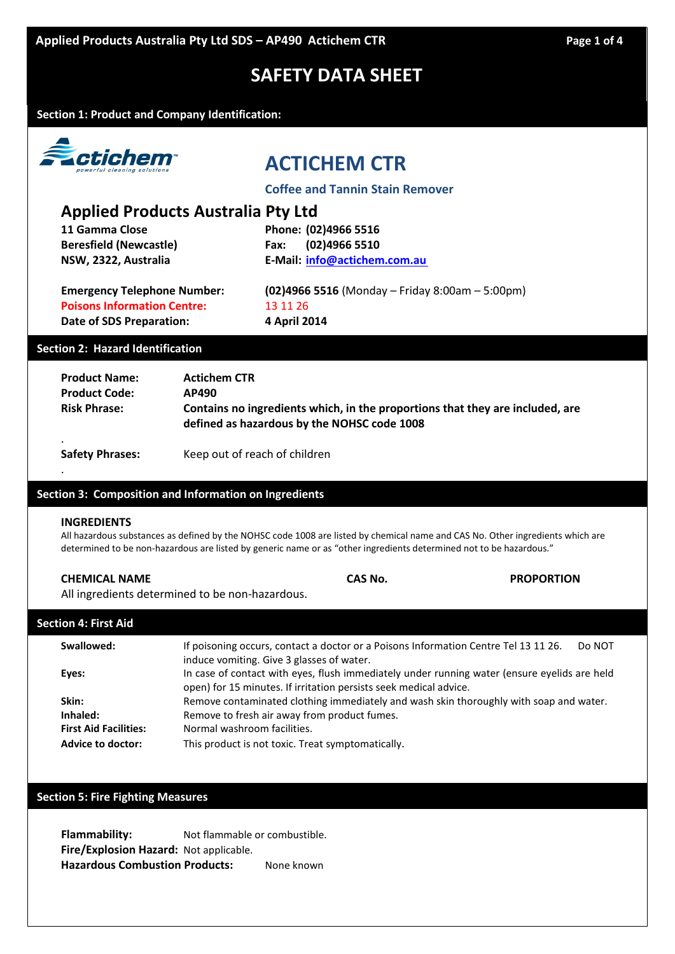**Section 1: Product and Company Identification:**



# **ACTICHEM CTR**

**Coffee and Tannin Stain Remover**

## **Applied Products Australia Pty Ltd**

**Beresfield (Newcastle) Fax: (02)4966 5510**

**11 Gamma Close Phone: (02)4966 5516 NSW, 2322, Australia E-Mail: [info@actichem.com.au](mailto:info@actichem.com.au)**

**Poisons Information Centre:** 13 11 26 **Date of SDS Preparation: 4 April 2014**

**Emergency Telephone Number: (02)4966 5516** (Monday – Friday 8:00am – 5:00pm)

## **Section 2: Hazard Identification**

| <b>Product Name:</b><br><b>Product Code:</b><br><b>Risk Phrase:</b> | <b>Actichem CTR</b><br>AP490<br>Contains no ingredients which, in the proportions that they are included, are<br>defined as hazardous by the NOHSC code 1008 |  |
|---------------------------------------------------------------------|--------------------------------------------------------------------------------------------------------------------------------------------------------------|--|
| <b>Safety Phrases:</b>                                              | Keep out of reach of children                                                                                                                                |  |

### **Section 3: Composition and Information on Ingredients**

### **INGREDIENTS**

.

All hazardous substances as defined by the NOHSC code 1008 are listed by chemical name and CAS No. Other ingredients which are determined to be non-hazardous are listed by generic name or as "other ingredients determined not to be hazardous."

| <b>CHEMICAL NAME</b> | CAS No. | <b>PROPORTION</b> |
|----------------------|---------|-------------------|
|                      |         |                   |

All ingredients determined to be non-hazardous.

| Section 4: First Aid |                                                                                                                                                                   |  |
|----------------------|-------------------------------------------------------------------------------------------------------------------------------------------------------------------|--|
| Swallowed:           | If poisoning occurs, contact a doctor or a Poisons Information Centre Tel 13 11 26.<br>Do NOT<br>induce vomiting. Give 3 glasses of water.                        |  |
| Eyes:                | In case of contact with eyes, flush immediately under running water (ensure eyelids are held<br>open) for 15 minutes. If irritation persists seek medical advice. |  |
| Skin:                | Remove contaminated clothing immediately and wash skin thoroughly with soap and water.                                                                            |  |

**Inhaled:** Remove to fresh air away from product fumes.

**First Aid Facilities:** Normal washroom facilities.

**Advice to doctor:** This product is not toxic. Treat symptomatically.

### **Section 5: Fire Fighting Measures**

**Flammability:** Not flammable or combustible. **Fire/Explosion Hazard:** Not applicable. **Hazardous Combustion Products:** None known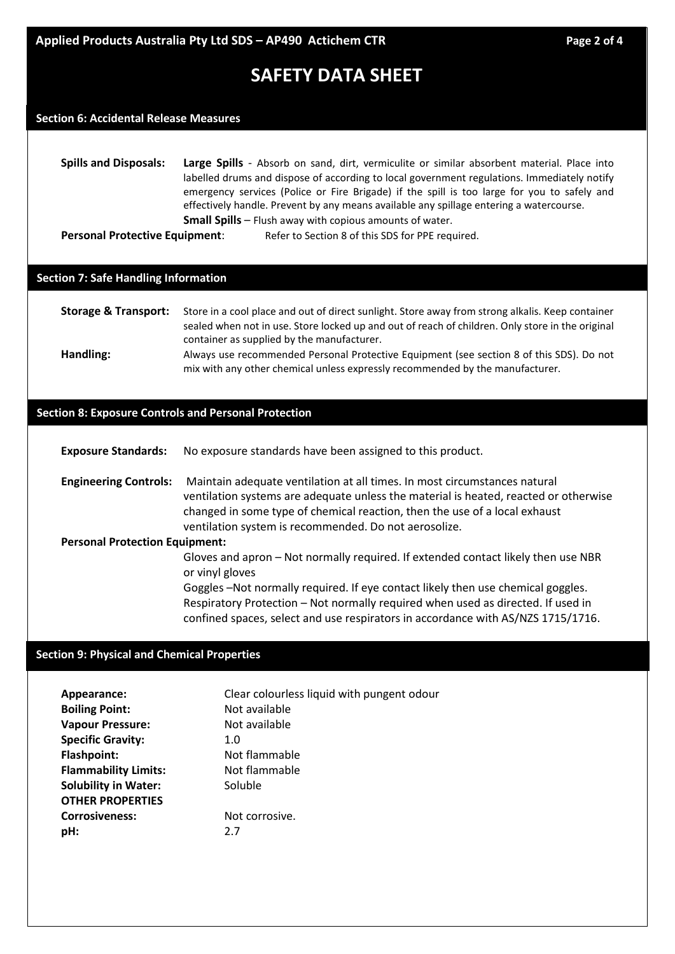## **Section 6: Accidental Release Measures**

**Spills and Disposals: Large Spills** - Absorb on sand, dirt, vermiculite or similar absorbent material. Place into labelled drums and dispose of according to local government regulations. Immediately notify emergency services (Police or Fire Brigade) if the spill is too large for you to safely and effectively handle. Prevent by any means available any spillage entering a watercourse. **Small Spills** – Flush away with copious amounts of water. **Personal Protective Equipment:** Refer to Section 8 of this SDS for PPE required.

### **Section 7: Safe Handling Information**

## **Storage & Transport:** Store in a cool place and out of direct sunlight. Store away from strong alkalis. Keep container sealed when not in use. Store locked up and out of reach of children. Only store in the original container as supplied by the manufacturer. **Handling:** Always use recommended Personal Protective Equipment (see section 8 of this SDS). Do not

# mix with any other chemical unless expressly recommended by the manufacturer.

## **Section 8: Exposure Controls and Personal Protection**

| <b>Exposure Standards:</b> | No exposure standards have been assigned to this product. |  |
|----------------------------|-----------------------------------------------------------|--|
|----------------------------|-----------------------------------------------------------|--|

**Engineering Controls:** Maintain adequate ventilation at all times. In most circumstances natural ventilation systems are adequate unless the material is heated, reacted or otherwise changed in some type of chemical reaction, then the use of a local exhaust ventilation system is recommended. Do not aerosolize.

#### **Personal Protection Equipment:**

Gloves and apron – Not normally required. If extended contact likely then use NBR or vinyl gloves

Goggles –Not normally required. If eye contact likely then use chemical goggles. Respiratory Protection – Not normally required when used as directed. If used in confined spaces, select and use respirators in accordance with AS/NZS 1715/1716.

## **Section 9: Physical and Chemical Properties**

| Appearance:                 | Clear colourless liquid with pungent odour |
|-----------------------------|--------------------------------------------|
| <b>Boiling Point:</b>       | Not available                              |
| <b>Vapour Pressure:</b>     | Not available                              |
| <b>Specific Gravity:</b>    | 1.0                                        |
| <b>Flashpoint:</b>          | Not flammable                              |
| <b>Flammability Limits:</b> | Not flammable                              |
| <b>Solubility in Water:</b> | Soluble                                    |
| <b>OTHER PROPERTIES</b>     |                                            |
| <b>Corrosiveness:</b>       | Not corrosive.                             |
| pH:                         | 2.7                                        |
|                             |                                            |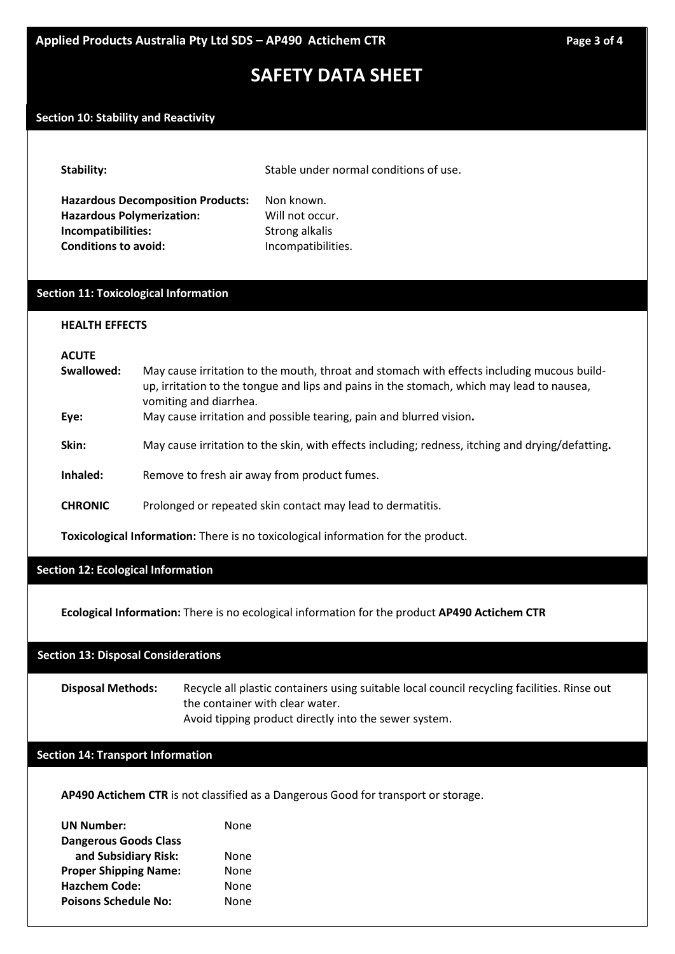## **Section 10: Stability and Reactivity**

| <b>Stability:</b> |  |
|-------------------|--|
|-------------------|--|

Stable under normal conditions of use.

**Hazardous Decomposition Products:** Non known. Hazardous Polymerization: Will not occur. **Incompatibilities:** Strong alkalis **Conditions to avoid:** Incompatibilities.

## **Section 11: Toxicological Information**

#### **HEALTH EFFECTS**

#### **ACUTE**

**Swallowed:** May cause irritation to the mouth, throat and stomach with effects including mucous buildup, irritation to the tongue and lips and pains in the stomach, which may lead to nausea, vomiting and diarrhea. **Eye:** May cause irritation and possible tearing, pain and blurred vision**. Skin:** May cause irritation to the skin, with effects including; redness, itching and drying/defatting**. Inhaled:** Remove to fresh air away from product fumes. **CHRONIC** Prolonged or repeated skin contact may lead to dermatitis.

**Toxicological Information:** There is no toxicological information for the product.

**Section 12: Ecological Information**

**Ecological Information:** There is no ecological information for the product **AP490 Actichem CTR**

## **Section 13: Disposal Considerations**

**Disposal Methods:** Recycle all plastic containers using suitable local council recycling facilities. Rinse out the container with clear water. Avoid tipping product directly into the sewer system.

## **Section 14: Transport Information**

**AP490 Actichem CTR** is not classified as a Dangerous Good for transport or storage.

| <b>UN Number:</b>            | None |
|------------------------------|------|
| <b>Dangerous Goods Class</b> |      |
| and Subsidiary Risk:         | None |
| <b>Proper Shipping Name:</b> | None |
| <b>Hazchem Code:</b>         | None |
| <b>Poisons Schedule No:</b>  | None |